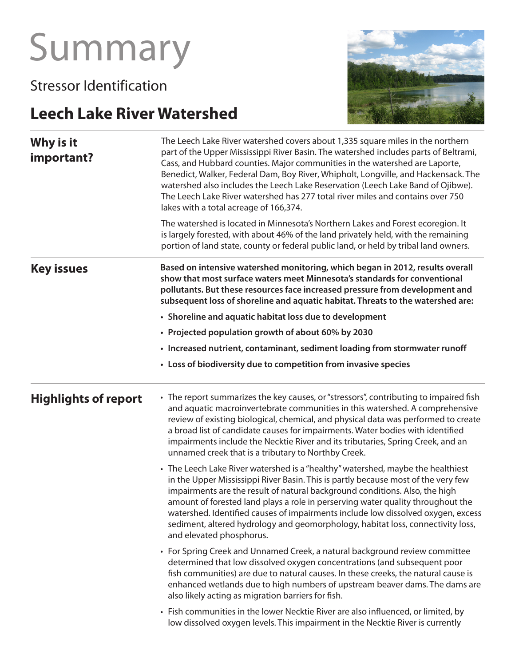# Summary

Stressor Identification

# **Leech Lake River Watershed**



| Why is it<br>important?     | The Leech Lake River watershed covers about 1,335 square miles in the northern<br>part of the Upper Mississippi River Basin. The watershed includes parts of Beltrami,<br>Cass, and Hubbard counties. Major communities in the watershed are Laporte,<br>Benedict, Walker, Federal Dam, Boy River, Whipholt, Longville, and Hackensack. The<br>watershed also includes the Leech Lake Reservation (Leech Lake Band of Ojibwe).<br>The Leech Lake River watershed has 277 total river miles and contains over 750<br>lakes with a total acreage of 166,374. |
|-----------------------------|------------------------------------------------------------------------------------------------------------------------------------------------------------------------------------------------------------------------------------------------------------------------------------------------------------------------------------------------------------------------------------------------------------------------------------------------------------------------------------------------------------------------------------------------------------|
|                             | The watershed is located in Minnesota's Northern Lakes and Forest ecoregion. It<br>is largely forested, with about 46% of the land privately held, with the remaining<br>portion of land state, county or federal public land, or held by tribal land owners.                                                                                                                                                                                                                                                                                              |
| <b>Key issues</b>           | Based on intensive watershed monitoring, which began in 2012, results overall<br>show that most surface waters meet Minnesota's standards for conventional<br>pollutants. But these resources face increased pressure from development and<br>subsequent loss of shoreline and aquatic habitat. Threats to the watershed are:                                                                                                                                                                                                                              |
|                             | • Shoreline and aquatic habitat loss due to development                                                                                                                                                                                                                                                                                                                                                                                                                                                                                                    |
|                             | • Projected population growth of about 60% by 2030                                                                                                                                                                                                                                                                                                                                                                                                                                                                                                         |
|                             | • Increased nutrient, contaminant, sediment loading from stormwater runoff                                                                                                                                                                                                                                                                                                                                                                                                                                                                                 |
|                             | • Loss of biodiversity due to competition from invasive species                                                                                                                                                                                                                                                                                                                                                                                                                                                                                            |
| <b>Highlights of report</b> | • The report summarizes the key causes, or "stressors", contributing to impaired fish<br>and aquatic macroinvertebrate communities in this watershed. A comprehensive<br>review of existing biological, chemical, and physical data was performed to create<br>a broad list of candidate causes for impairments. Water bodies with identified<br>impairments include the Necktie River and its tributaries, Spring Creek, and an<br>unnamed creek that is a tributary to Northby Creek.                                                                    |
|                             | • The Leech Lake River watershed is a "healthy" watershed, maybe the healthiest<br>in the Upper Mississippi River Basin. This is partly because most of the very few<br>impairments are the result of natural background conditions. Also, the high<br>amount of forested land plays a role in perserving water quality throughout the<br>watershed. Identified causes of impairments include low dissolved oxygen, excess<br>sediment, altered hydrology and geomorphology, habitat loss, connectivity loss,<br>and elevated phosphorus.                  |
|                             | • For Spring Creek and Unnamed Creek, a natural background review committee<br>determined that low dissolved oxygen concentrations (and subsequent poor<br>fish communities) are due to natural causes. In these creeks, the natural cause is<br>enhanced wetlands due to high numbers of upstream beaver dams. The dams are<br>also likely acting as migration barriers for fish.                                                                                                                                                                         |
|                             | • Fish communities in the lower Necktie River are also influenced, or limited, by<br>low dissolved oxygen levels. This impairment in the Necktie River is currently                                                                                                                                                                                                                                                                                                                                                                                        |